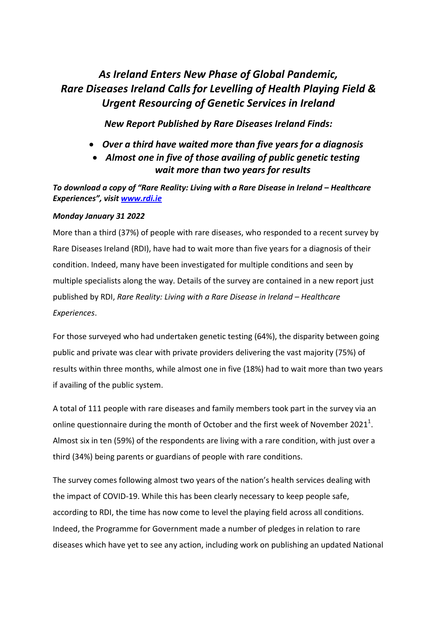# *As Ireland Enters New Phase of Global Pandemic, Rare Diseases Ireland Calls for Levelling of Health Playing Field & Urgent Resourcing of Genetic Services in Ireland*

*New Report Published by Rare Diseases Ireland Finds:*

- *Over a third have waited more than five years for a diagnosis*
- *Almost one in five of those availing of public genetic testing wait more than two years for results*

*To download a copy of "Rare Reality: Living with a Rare Disease in Ireland – Healthcare Experiences", visi[t www.rdi.ie](http://www.rdi.ie/)*

# *Monday January 31 2022*

More than a third (37%) of people with rare diseases, who responded to a recent survey by Rare Diseases Ireland (RDI), have had to wait more than five years for a diagnosis of their condition. Indeed, many have been investigated for multiple conditions and seen by multiple specialists along the way. Details of the survey are contained in a new report just published by RDI, *Rare Reality: Living with a Rare Disease in Ireland – Healthcare Experiences*.

For those surveyed who had undertaken genetic testing (64%), the disparity between going public and private was clear with private providers delivering the vast majority (75%) of results within three months, while almost one in five (18%) had to wait more than two years if availing of the public system.

A total of 111 people with rare diseases and family members took part in the survey via an online questionnaire during the month of October and the first week of November 2021<sup>1</sup>. Almost six in ten (59%) of the respondents are living with a rare condition, with just over a third (34%) being parents or guardians of people with rare conditions.

The survey comes following almost two years of the nation's health services dealing with the impact of COVID-19. While this has been clearly necessary to keep people safe, according to RDI, the time has now come to level the playing field across all conditions. Indeed, the Programme for Government made a number of pledges in relation to rare diseases which have yet to see any action, including work on publishing an updated National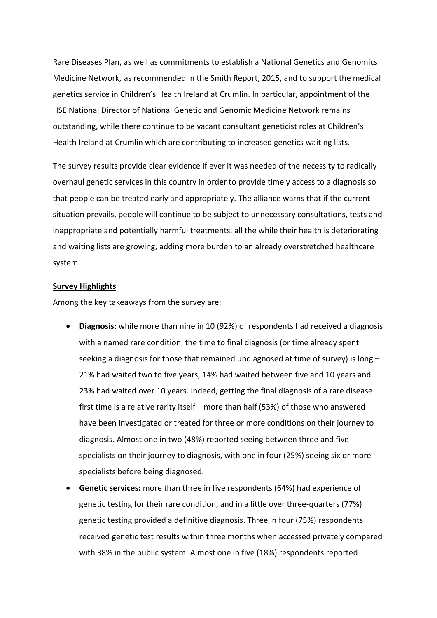Rare Diseases Plan, as well as commitments to establish a National Genetics and Genomics Medicine Network, as recommended in the Smith Report, 2015, and to support the medical genetics service in Children's Health Ireland at Crumlin. In particular, appointment of the HSE National Director of National Genetic and Genomic Medicine Network remains outstanding, while there continue to be vacant consultant geneticist roles at Children's Health Ireland at Crumlin which are contributing to increased genetics waiting lists.

The survey results provide clear evidence if ever it was needed of the necessity to radically overhaul genetic services in this country in order to provide timely access to a diagnosis so that people can be treated early and appropriately. The alliance warns that if the current situation prevails, people will continue to be subject to unnecessary consultations, tests and inappropriate and potentially harmful treatments, all the while their health is deteriorating and waiting lists are growing, adding more burden to an already overstretched healthcare system.

## **Survey Highlights**

Among the key takeaways from the survey are:

- **Diagnosis:** while more than nine in 10 (92%) of respondents had received a diagnosis with a named rare condition, the time to final diagnosis (or time already spent seeking a diagnosis for those that remained undiagnosed at time of survey) is long – 21% had waited two to five years, 14% had waited between five and 10 years and 23% had waited over 10 years. Indeed, getting the final diagnosis of a rare disease first time is a relative rarity itself – more than half (53%) of those who answered have been investigated or treated for three or more conditions on their journey to diagnosis. Almost one in two (48%) reported seeing between three and five specialists on their journey to diagnosis, with one in four (25%) seeing six or more specialists before being diagnosed.
- **Genetic services:** more than three in five respondents (64%) had experience of genetic testing for their rare condition, and in a little over three-quarters (77%) genetic testing provided a definitive diagnosis. Three in four (75%) respondents received genetic test results within three months when accessed privately compared with 38% in the public system. Almost one in five (18%) respondents reported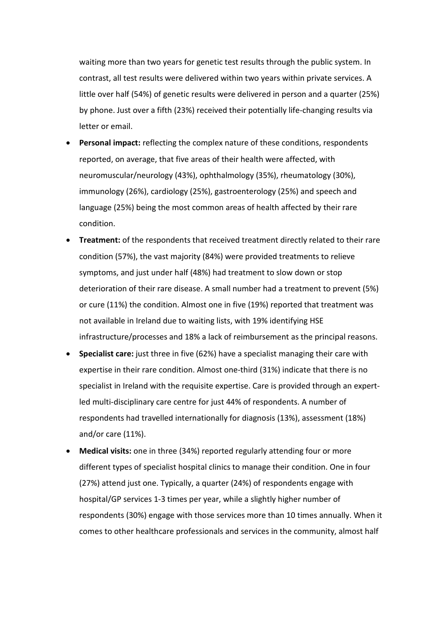waiting more than two years for genetic test results through the public system. In contrast, all test results were delivered within two years within private services. A little over half (54%) of genetic results were delivered in person and a quarter (25%) by phone. Just over a fifth (23%) received their potentially life-changing results via letter or email.

- **Personal impact:** reflecting the complex nature of these conditions, respondents reported, on average, that five areas of their health were affected, with neuromuscular/neurology (43%), ophthalmology (35%), rheumatology (30%), immunology (26%), cardiology (25%), gastroenterology (25%) and speech and language (25%) being the most common areas of health affected by their rare condition.
- **Treatment:** of the respondents that received treatment directly related to their rare condition (57%), the vast majority (84%) were provided treatments to relieve symptoms, and just under half (48%) had treatment to slow down or stop deterioration of their rare disease. A small number had a treatment to prevent (5%) or cure (11%) the condition. Almost one in five (19%) reported that treatment was not available in Ireland due to waiting lists, with 19% identifying HSE infrastructure/processes and 18% a lack of reimbursement as the principal reasons.
- **Specialist care:** just three in five (62%) have a specialist managing their care with expertise in their rare condition. Almost one-third (31%) indicate that there is no specialist in Ireland with the requisite expertise. Care is provided through an expertled multi-disciplinary care centre for just 44% of respondents. A number of respondents had travelled internationally for diagnosis (13%), assessment (18%) and/or care (11%).
- **Medical visits:** one in three (34%) reported regularly attending four or more different types of specialist hospital clinics to manage their condition. One in four (27%) attend just one. Typically, a quarter (24%) of respondents engage with hospital/GP services 1-3 times per year, while a slightly higher number of respondents (30%) engage with those services more than 10 times annually. When it comes to other healthcare professionals and services in the community, almost half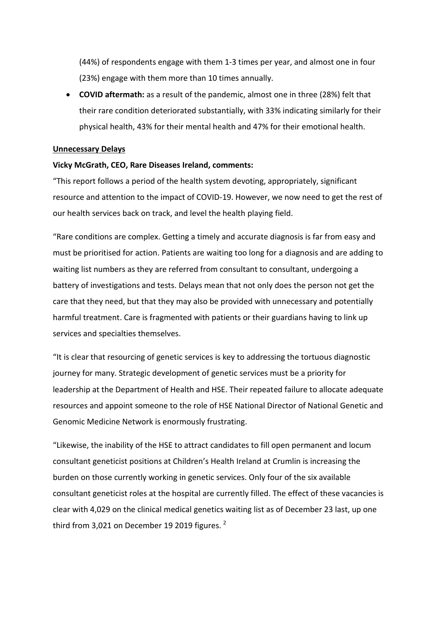(44%) of respondents engage with them 1-3 times per year, and almost one in four (23%) engage with them more than 10 times annually.

• **COVID aftermath:** as a result of the pandemic, almost one in three (28%) felt that their rare condition deteriorated substantially, with 33% indicating similarly for their physical health, 43% for their mental health and 47% for their emotional health.

## **Unnecessary Delays**

# **Vicky McGrath, CEO, Rare Diseases Ireland, comments:**

"This report follows a period of the health system devoting, appropriately, significant resource and attention to the impact of COVID-19. However, we now need to get the rest of our health services back on track, and level the health playing field.

"Rare conditions are complex. Getting a timely and accurate diagnosis is far from easy and must be prioritised for action. Patients are waiting too long for a diagnosis and are adding to waiting list numbers as they are referred from consultant to consultant, undergoing a battery of investigations and tests. Delays mean that not only does the person not get the care that they need, but that they may also be provided with unnecessary and potentially harmful treatment. Care is fragmented with patients or their guardians having to link up services and specialties themselves.

"It is clear that resourcing of genetic services is key to addressing the tortuous diagnostic journey for many. Strategic development of genetic services must be a priority for leadership at the Department of Health and HSE. Their repeated failure to allocate adequate resources and appoint someone to the role of HSE National Director of National Genetic and Genomic Medicine Network is enormously frustrating.

"Likewise, the inability of the HSE to attract candidates to fill open permanent and locum consultant geneticist positions at Children's Health Ireland at Crumlin is increasing the burden on those currently working in genetic services. Only four of the six available consultant geneticist roles at the hospital are currently filled. The effect of these vacancies is clear with 4,029 on the clinical medical genetics waiting list as of December 23 last, up one third from 3,021 on December 19 2019 figures. $^2$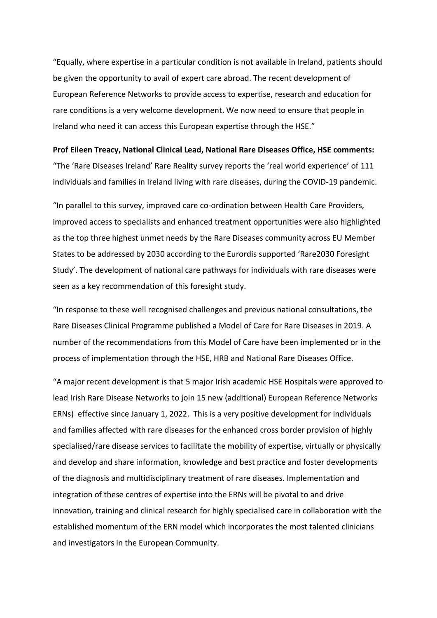"Equally, where expertise in a particular condition is not available in Ireland, patients should be given the opportunity to avail of expert care abroad. The recent development of European Reference Networks to provide access to expertise, research and education for rare conditions is a very welcome development. We now need to ensure that people in Ireland who need it can access this European expertise through the HSE."

**Prof Eileen Treacy, National Clinical Lead, National Rare Diseases Office, HSE comments:** "The 'Rare Diseases Ireland' Rare Reality survey reports the 'real world experience' of 111 individuals and families in Ireland living with rare diseases, during the COVID-19 pandemic.

"In parallel to this survey, improved care co-ordination between Health Care Providers, improved access to specialists and enhanced treatment opportunities were also highlighted as the top three highest unmet needs by the Rare Diseases community across EU Member States to be addressed by 2030 according to the Eurordis supported 'Rare2030 Foresight Study'. The development of national care pathways for individuals with rare diseases were seen as a key recommendation of this foresight study.

"In response to these well recognised challenges and previous national consultations, the Rare Diseases Clinical Programme published a Model of Care for Rare Diseases in 2019. A number of the recommendations from this Model of Care have been implemented or in the process of implementation through the HSE, HRB and National Rare Diseases Office.

"A major recent development is that 5 major Irish academic HSE Hospitals were approved to lead Irish Rare Disease Networks to join 15 new (additional) European Reference Networks ERNs) effective since January 1, 2022. This is a very positive development for individuals and families affected with rare diseases for the enhanced cross border provision of highly specialised/rare disease services to facilitate the mobility of expertise, virtually or physically and develop and share information, knowledge and best practice and foster developments of the diagnosis and multidisciplinary treatment of rare diseases. Implementation and integration of these centres of expertise into the ERNs will be pivotal to and drive innovation, training and clinical research for highly specialised care in collaboration with the established momentum of the ERN model which incorporates the most talented clinicians and investigators in the European Community.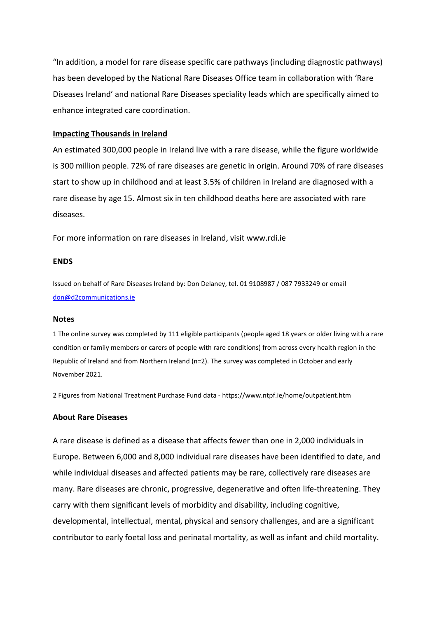"In addition, a model for rare disease specific care pathways (including diagnostic pathways) has been developed by the National Rare Diseases Office team in collaboration with 'Rare Diseases Ireland' and national Rare Diseases speciality leads which are specifically aimed to enhance integrated care coordination.

#### **Impacting Thousands in Ireland**

An estimated 300,000 people in Ireland live with a rare disease, while the figure worldwide is 300 million people. 72% of rare diseases are genetic in origin. Around 70% of rare diseases start to show up in childhood and at least 3.5% of children in Ireland are diagnosed with a rare disease by age 15. Almost six in ten childhood deaths here are associated with rare diseases.

For more information on rare diseases in Ireland, visit www.rdi.ie

## **ENDS**

Issued on behalf of Rare Diseases Ireland by: Don Delaney, tel. 01 9108987 / 087 7933249 or email [don@d2communications.ie](mailto:don@d2communications.ie)

#### **Notes**

1 The online survey was completed by 111 eligible participants (people aged 18 years or older living with a rare condition or family members or carers of people with rare conditions) from across every health region in the Republic of Ireland and from Northern Ireland (n=2). The survey was completed in October and early November 2021.

2 Figures from National Treatment Purchase Fund data - https://www.ntpf.ie/home/outpatient.htm

## **About Rare Diseases**

A rare disease is defined as a disease that affects fewer than one in 2,000 individuals in Europe. Between 6,000 and 8,000 individual rare diseases have been identified to date, and while individual diseases and affected patients may be rare, collectively rare diseases are many. Rare diseases are chronic, progressive, degenerative and often life-threatening. They carry with them significant levels of morbidity and disability, including cognitive, developmental, intellectual, mental, physical and sensory challenges, and are a significant contributor to early foetal loss and perinatal mortality, as well as infant and child mortality.